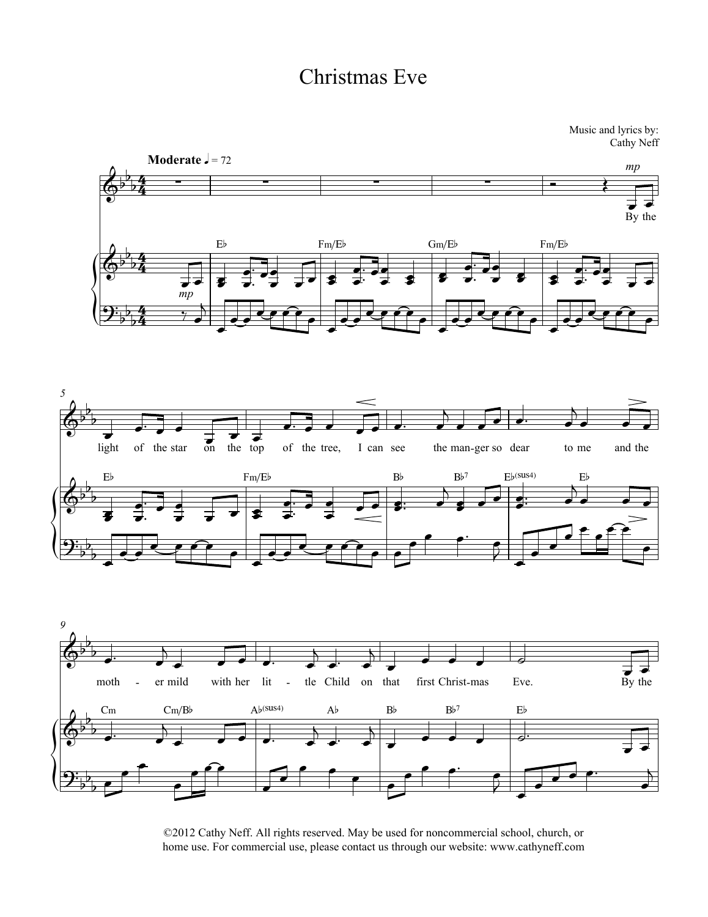

©2012 Cathy Neff. All rights reserved. May be used for noncommercial school, church, or home use. For commercial use, please contact us through our website: www.cathyneff.com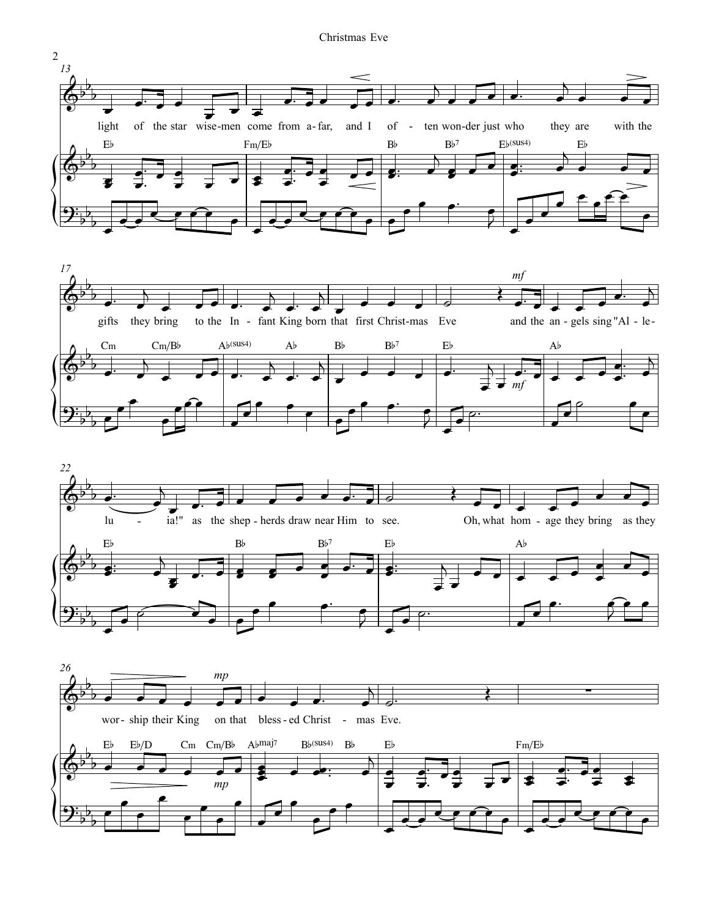





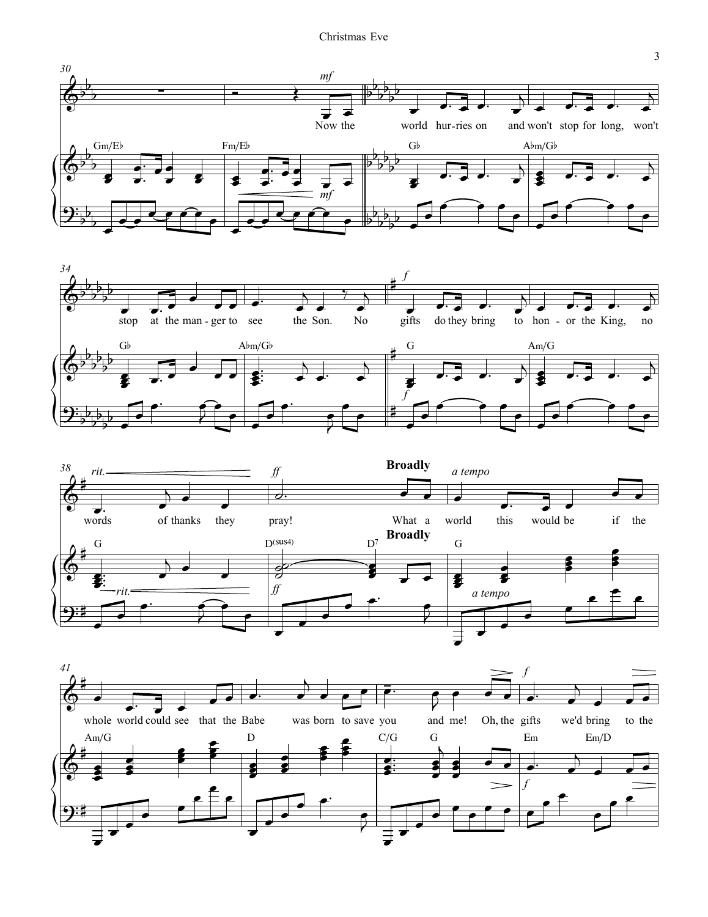